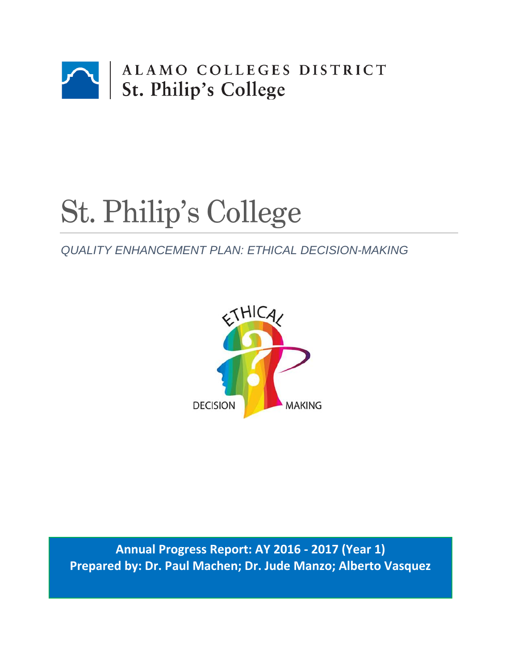

# St. Philip's College

# *QUALITY ENHANCEMENT PLAN: ETHICAL DECISION-MAKING*



**Annual Progress Report: AY 2016 - 2017 (Year 1) Prepared by: Dr. Paul Machen; Dr. Jude Manzo; Alberto Vasquez**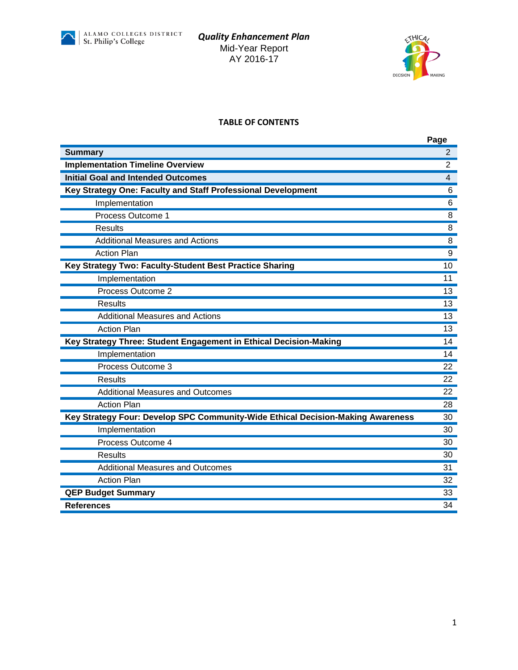



#### **TABLE OF CONTENTS**

|                                                                                 | Page           |
|---------------------------------------------------------------------------------|----------------|
| <b>Summary</b>                                                                  | $\overline{2}$ |
| <b>Implementation Timeline Overview</b>                                         | $\overline{2}$ |
| <b>Initial Goal and Intended Outcomes</b>                                       | 4              |
| Key Strategy One: Faculty and Staff Professional Development                    | 6              |
| Implementation                                                                  | 6              |
| Process Outcome 1                                                               | 8              |
| <b>Results</b>                                                                  | 8              |
| <b>Additional Measures and Actions</b>                                          | 8              |
| <b>Action Plan</b>                                                              | 9              |
| Key Strategy Two: Faculty-Student Best Practice Sharing                         | 10             |
| Implementation                                                                  | 11             |
| Process Outcome 2                                                               | 13             |
| Results                                                                         | 13             |
| <b>Additional Measures and Actions</b>                                          | 13             |
| <b>Action Plan</b>                                                              | 13             |
| Key Strategy Three: Student Engagement in Ethical Decision-Making               | 14             |
| Implementation                                                                  | 14             |
| Process Outcome 3                                                               | 22             |
| Results                                                                         | 22             |
| <b>Additional Measures and Outcomes</b>                                         | 22             |
| <b>Action Plan</b>                                                              | 28             |
| Key Strategy Four: Develop SPC Community-Wide Ethical Decision-Making Awareness | 30             |
| Implementation                                                                  | 30             |
| Process Outcome 4                                                               | 30             |
| Results                                                                         | 30             |
| <b>Additional Measures and Outcomes</b>                                         | 31             |
| <b>Action Plan</b>                                                              | 32             |
| <b>QEP Budget Summary</b>                                                       | 33             |
| <b>References</b>                                                               | 34             |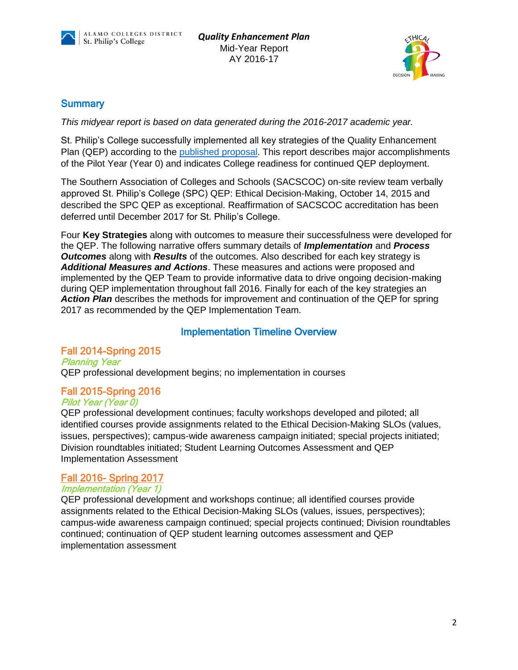



#### **Summary**

*This midyear report is based on data generated during the 2016-2017 academic year.*

St. Philip's College successfully implemented all key strategies of the Quality Enhancement Plan (QEP) according to the [published](http://alamo.edu/uploadedFiles/SPC/Faculty_and_Staff/QEP/Files/QEP%20Final%208282015%201730%20SACSCOC%20submission.pdf) proposal. This report describes major accomplishments of the Pilot Year (Year 0) and indicates College readiness for continued QEP deployment.

The Southern Association of Colleges and Schools (SACSCOC) on-site review team verbally approved St. Philip's College (SPC) QEP: Ethical Decision-Making, October 14, 2015 and described the SPC QEP as exceptional. Reaffirmation of SACSCOC accreditation has been deferred until December 2017 for St. Philip's College.

Four **Key Strategies** along with outcomes to measure their successfulness were developed for the QEP. The following narrative offers summary details of *Implementation* and *Process Outcomes* along with *Results* of the outcomes. Also described for each key strategy is *Additional Measures and Actions*. These measures and actions were proposed and implemented by the QEP Team to provide informative data to drive ongoing decision-making during QEP implementation throughout fall 2016. Finally for each of the key strategies an **Action Plan** describes the methods for improvement and continuation of the QEP for spring 2017 as recommended by the QEP Implementation Team.

## Implementation Timeline Overview

## Fall 2014-Spring 2015

Planning Year QEP professional development begins; no implementation in courses

## Fall 2015-Spring 2016

#### Pilot Year (Year 0)

QEP professional development continues; faculty workshops developed and piloted; all identified courses provide assignments related to the Ethical Decision-Making SLOs (values, issues, perspectives); campus-wide awareness campaign initiated; special projects initiated; Division roundtables initiated; Student Learning Outcomes Assessment and QEP Implementation Assessment

#### Fall 2016- Spring 2017

#### Implementation (Year 1)

QEP professional development and workshops continue; all identified courses provide assignments related to the Ethical Decision-Making SLOs (values, issues, perspectives); campus-wide awareness campaign continued; special projects continued; Division roundtables continued; continuation of QEP student learning outcomes assessment and QEP implementation assessment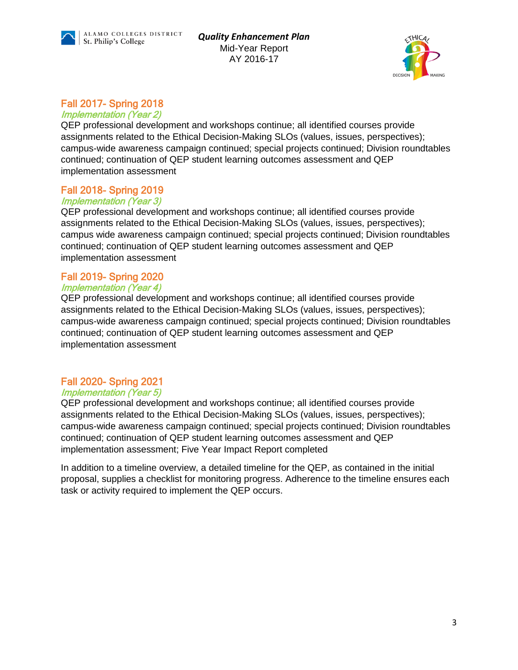



## Fall 2017- Spring 2018

#### Implementation (Year 2)

QEP professional development and workshops continue; all identified courses provide assignments related to the Ethical Decision-Making SLOs (values, issues, perspectives); campus-wide awareness campaign continued; special projects continued; Division roundtables continued; continuation of QEP student learning outcomes assessment and QEP implementation assessment

## Fall 2018- Spring 2019

#### Implementation (Year 3)

QEP professional development and workshops continue; all identified courses provide assignments related to the Ethical Decision-Making SLOs (values, issues, perspectives); campus wide awareness campaign continued; special projects continued; Division roundtables continued; continuation of QEP student learning outcomes assessment and QEP implementation assessment

#### Fall 2019- Spring 2020

#### Implementation (Year 4)

QEP professional development and workshops continue; all identified courses provide assignments related to the Ethical Decision-Making SLOs (values, issues, perspectives); campus-wide awareness campaign continued; special projects continued; Division roundtables continued; continuation of QEP student learning outcomes assessment and QEP implementation assessment

#### Fall 2020- Spring 2021

#### Implementation (Year 5)

QEP professional development and workshops continue; all identified courses provide assignments related to the Ethical Decision-Making SLOs (values, issues, perspectives); campus-wide awareness campaign continued; special projects continued; Division roundtables continued; continuation of QEP student learning outcomes assessment and QEP implementation assessment; Five Year Impact Report completed

In addition to a timeline overview, a detailed timeline for the QEP, as contained in the initial proposal, supplies a checklist for monitoring progress. Adherence to the timeline ensures each task or activity required to implement the QEP occurs.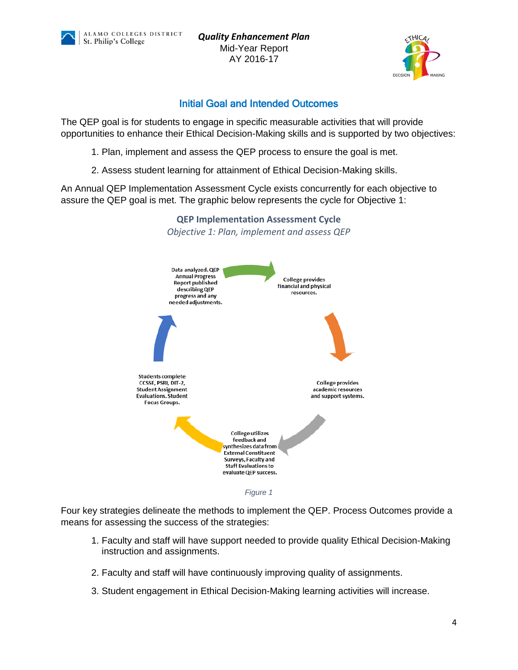ALAMO COLLEGES DISTRICT St. Philip's College

*Quality Enhancement Plan* Mid-Year Report AY 2016-17



#### Initial Goal and Intended Outcomes

The QEP goal is for students to engage in specific measurable activities that will provide opportunities to enhance their Ethical Decision-Making skills and is supported by two objectives:

- 1. Plan, implement and assess the QEP process to ensure the goal is met.
- 2. Assess student learning for attainment of Ethical Decision-Making skills.

An Annual QEP Implementation Assessment Cycle exists concurrently for each objective to assure the QEP goal is met. The graphic below represents the cycle for Objective 1:



**QEP Implementation Assessment Cycle**

*Figure 1*

Four key strategies delineate the methods to implement the QEP. Process Outcomes provide a means for assessing the success of the strategies:

- 1. Faculty and staff will have support needed to provide quality Ethical Decision-Making instruction and assignments.
- 2. Faculty and staff will have continuously improving quality of assignments.
- 3. Student engagement in Ethical Decision-Making learning activities will increase.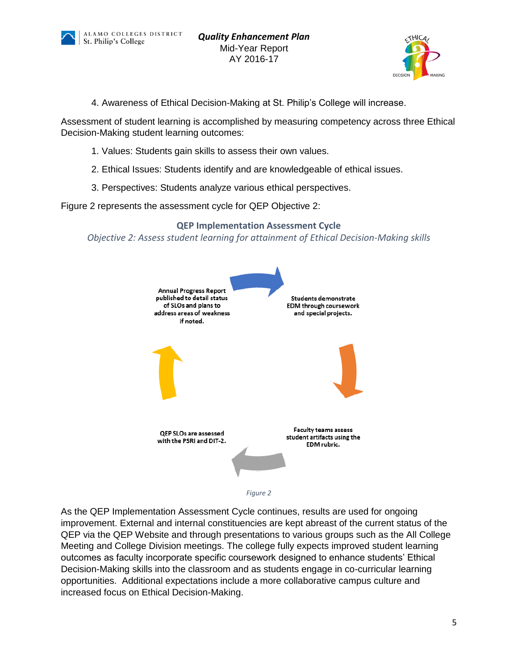



4. Awareness of Ethical Decision-Making at St. Philip's College will increase.

Assessment of student learning is accomplished by measuring competency across three Ethical Decision-Making student learning outcomes:

- 1. Values: Students gain skills to assess their own values.
- 2. Ethical Issues: Students identify and are knowledgeable of ethical issues.
- 3. Perspectives: Students analyze various ethical perspectives.

Figure 2 represents the assessment cycle for QEP Objective 2:

**QEP Implementation Assessment Cycle** *Objective 2: Assess student learning for attainment of Ethical Decision-Making skills*





As the QEP Implementation Assessment Cycle continues, results are used for ongoing improvement. External and internal constituencies are kept abreast of the current status of the QEP via the QEP Website and through presentations to various groups such as the All College Meeting and College Division meetings. The college fully expects improved student learning outcomes as faculty incorporate specific coursework designed to enhance students' Ethical Decision-Making skills into the classroom and as students engage in co-curricular learning opportunities. Additional expectations include a more collaborative campus culture and increased focus on Ethical Decision-Making.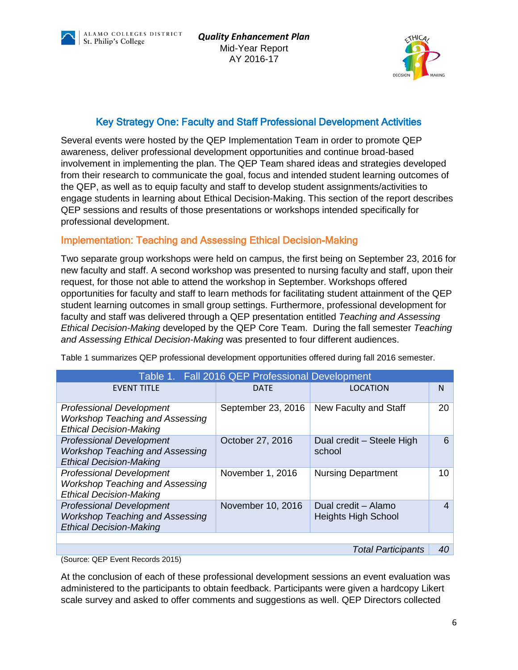



## Key Strategy One: Faculty and Staff Professional Development Activities

Several events were hosted by the QEP Implementation Team in order to promote QEP awareness, deliver professional development opportunities and continue broad-based involvement in implementing the plan. The QEP Team shared ideas and strategies developed from their research to communicate the goal, focus and intended student learning outcomes of the QEP, as well as to equip faculty and staff to develop student assignments/activities to engage students in learning about Ethical Decision-Making. This section of the report describes QEP sessions and results of those presentations or workshops intended specifically for professional development.

## Implementation: Teaching and Assessing Ethical Decision-Making

Two separate group workshops were held on campus, the first being on September 23, 2016 for new faculty and staff. A second workshop was presented to nursing faculty and staff, upon their request, for those not able to attend the workshop in September. Workshops offered opportunities for faculty and staff to learn methods for facilitating student attainment of the QEP student learning outcomes in small group settings. Furthermore, professional development for faculty and staff was delivered through a QEP presentation entitled *Teaching and Assessing Ethical Decision-Making* developed by the QEP Core Team. During the fall semester *Teaching and Assessing Ethical Decision-Making* was presented to four different audiences.

| Table 1. Fall 2016 QEP Professional Development                                                             |                    |                                                   |                |
|-------------------------------------------------------------------------------------------------------------|--------------------|---------------------------------------------------|----------------|
| <b>EVENT TITLE</b>                                                                                          | <b>DATE</b>        | LOCATION                                          | N              |
| <b>Professional Development</b><br><b>Workshop Teaching and Assessing</b><br><b>Ethical Decision-Making</b> | September 23, 2016 | New Faculty and Staff                             | 20             |
| <b>Professional Development</b><br><b>Workshop Teaching and Assessing</b><br><b>Ethical Decision-Making</b> | October 27, 2016   | Dual credit - Steele High<br>school               | 6              |
| <b>Professional Development</b><br><b>Workshop Teaching and Assessing</b><br><b>Ethical Decision-Making</b> | November 1, 2016   | <b>Nursing Department</b>                         | 10             |
| <b>Professional Development</b><br><b>Workshop Teaching and Assessing</b><br><b>Ethical Decision-Making</b> | November 10, 2016  | Dual credit - Alamo<br><b>Heights High School</b> | $\overline{4}$ |
|                                                                                                             |                    |                                                   |                |
|                                                                                                             |                    | <b>Total Participants</b>                         | 40             |

Table 1 summarizes QEP professional development opportunities offered during fall 2016 semester.

(Source: QEP Event Records 2015)

At the conclusion of each of these professional development sessions an event evaluation was administered to the participants to obtain feedback. Participants were given a hardcopy Likert scale survey and asked to offer comments and suggestions as well. QEP Directors collected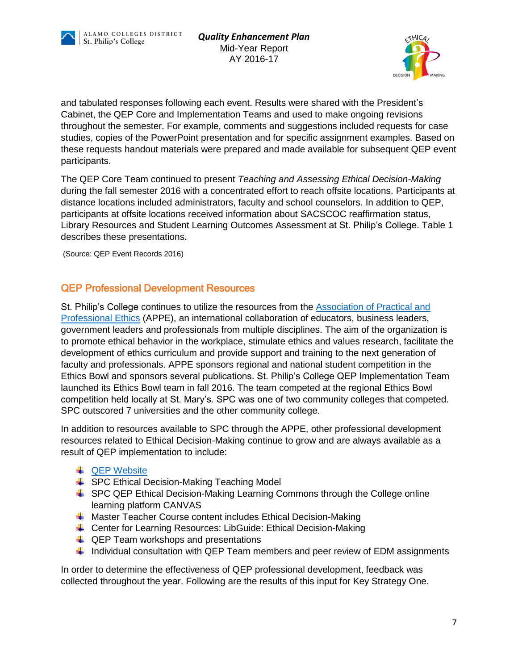



and tabulated responses following each event. Results were shared with the President's Cabinet, the QEP Core and Implementation Teams and used to make ongoing revisions throughout the semester. For example, comments and suggestions included requests for case studies, copies of the PowerPoint presentation and for specific assignment examples. Based on these requests handout materials were prepared and made available for subsequent QEP event participants.

The QEP Core Team continued to present *Teaching and Assessing Ethical Decision-Making* during the fall semester 2016 with a concentrated effort to reach offsite locations. Participants at distance locations included administrators, faculty and school counselors. In addition to QEP, participants at offsite locations received information about SACSCOC reaffirmation status, Library Resources and Student Learning Outcomes Assessment at St. Philip's College. Table 1 describes these presentations.

(Source: QEP Event Records 2016)

#### QEP Professional Development Resources

St. Philip's College continues to utilize the resources from the **Association of Practical and** [Professional Ethics](http://appe.indiana.edu/) (APPE), an international collaboration of educators, business leaders, government leaders and professionals from multiple disciplines. The aim of the organization is to promote ethical behavior in the workplace, stimulate ethics and values research, facilitate the development of ethics curriculum and provide support and training to the next generation of faculty and professionals. APPE sponsors regional and national student competition in the Ethics Bowl and sponsors several publications. St. Philip's College QEP Implementation Team launched its Ethics Bowl team in fall 2016. The team competed at the regional Ethics Bowl competition held locally at St. Mary's. SPC was one of two community colleges that competed. SPC outscored 7 universities and the other community college.

In addition to resources available to SPC through the APPE, other professional development resources related to Ethical Decision-Making continue to grow and are always available as a result of QEP implementation to include:

- **↓** [QEP Website](http://alamo.edu/spc/qep/)
- **↓ SPC Ethical Decision-Making Teaching Model**
- **↓** SPC QEP Ethical Decision-Making Learning Commons through the College online learning platform CANVAS
- **4** Master Teacher Course content includes Ethical Decision-Making
- ↓ Center for Learning Resources: LibGuide: Ethical Decision-Making
- $\downarrow$  QEP Team workshops and presentations
- Individual consultation with QEP Team members and peer review of EDM assignments

In order to determine the effectiveness of QEP professional development, feedback was collected throughout the year. Following are the results of this input for Key Strategy One.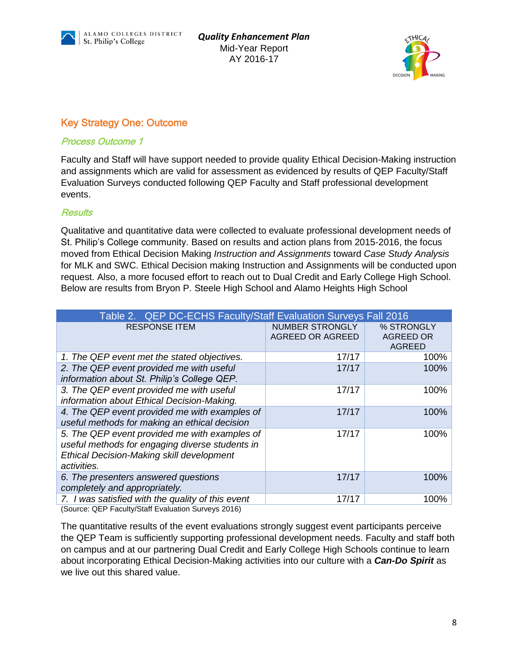



## Key Strategy One: Outcome

#### Process Outcome 1

Faculty and Staff will have support needed to provide quality Ethical Decision-Making instruction and assignments which are valid for assessment as evidenced by results of QEP Faculty/Staff Evaluation Surveys conducted following QEP Faculty and Staff professional development events.

#### **Results**

Qualitative and quantitative data were collected to evaluate professional development needs of St. Philip's College community. Based on results and action plans from 2015-2016, the focus moved from Ethical Decision Making *Instruction and Assignments* toward *Case Study Analysis* for MLK and SWC. Ethical Decision making Instruction and Assignments will be conducted upon request. Also, a more focused effort to reach out to Dual Credit and Early College High School. Below are results from Bryon P. Steele High School and Alamo Heights High School

| Table 2. QEP DC-ECHS Faculty/Staff Evaluation Surveys Fall 2016                                                                                              |                                                   |                                          |
|--------------------------------------------------------------------------------------------------------------------------------------------------------------|---------------------------------------------------|------------------------------------------|
| <b>RESPONSE ITEM</b>                                                                                                                                         | <b>NUMBER STRONGLY</b><br><b>AGREED OR AGREED</b> | % STRONGLY<br>AGREED OR<br><b>AGREED</b> |
| 1. The QEP event met the stated objectives.                                                                                                                  | 17/17                                             | 100%                                     |
| 2. The QEP event provided me with useful<br>information about St. Philip's College QEP.                                                                      | 17/17                                             | 100%                                     |
| 3. The QEP event provided me with useful<br>information about Ethical Decision-Making.                                                                       | 17/17                                             | 100%                                     |
| 4. The QEP event provided me with examples of<br>useful methods for making an ethical decision                                                               | 17/17                                             | 100%                                     |
| 5. The QEP event provided me with examples of<br>useful methods for engaging diverse students in<br>Ethical Decision-Making skill development<br>activities. | 17/17                                             | 100%                                     |
| 6. The presenters answered questions<br>completely and appropriately.                                                                                        | 17/17                                             | 100%                                     |
| 7. I was satisfied with the quality of this event<br>$(0.11)$ $(0.11)$ $(0.11)$ $(0.11)$ $(0.11)$ $(0.11)$ $(0.11)$ $(0.11)$ $(0.11)$                        | 17/17                                             | 100%                                     |

(Source: QEP Faculty/Staff Evaluation Surveys 2016)

The quantitative results of the event evaluations strongly suggest event participants perceive the QEP Team is sufficiently supporting professional development needs. Faculty and staff both on campus and at our partnering Dual Credit and Early College High Schools continue to learn about incorporating Ethical Decision-Making activities into our culture with a *Can-Do Spirit* as we live out this shared value.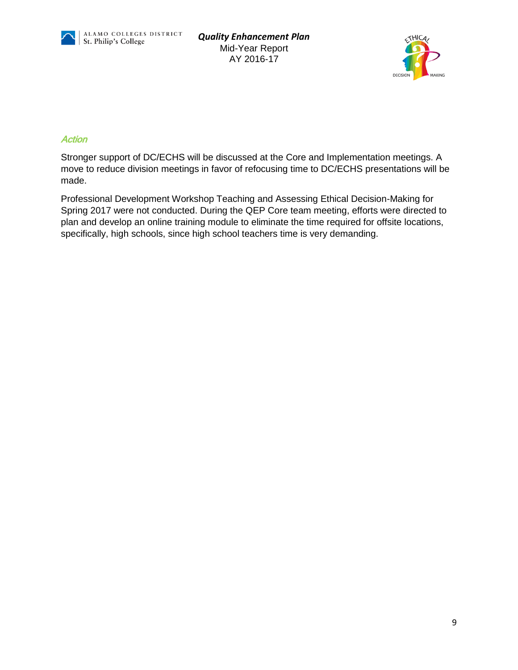



#### **Action**

Stronger support of DC/ECHS will be discussed at the Core and Implementation meetings. A move to reduce division meetings in favor of refocusing time to DC/ECHS presentations will be made.

Professional Development Workshop Teaching and Assessing Ethical Decision-Making for Spring 2017 were not conducted. During the QEP Core team meeting, efforts were directed to plan and develop an online training module to eliminate the time required for offsite locations, specifically, high schools, since high school teachers time is very demanding.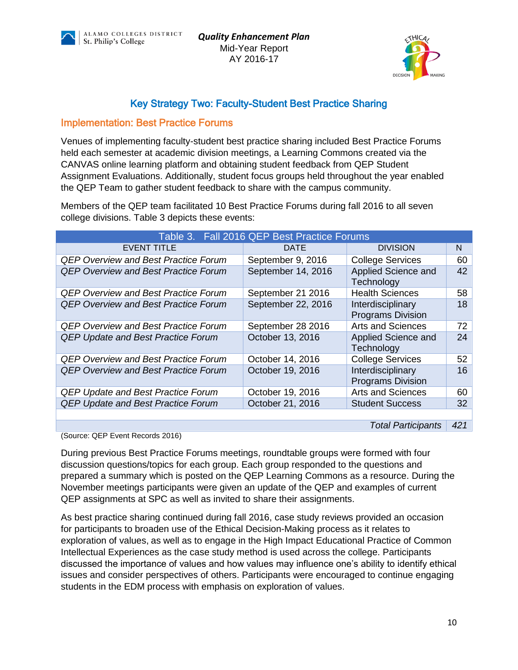ALAMO COLLEGES DISTRICT St. Philip's College

*Quality Enhancement Plan* Mid-Year Report AY 2016-17



## Key Strategy Two: Faculty-Student Best Practice Sharing

#### Implementation: Best Practice Forums

Venues of implementing faculty-student best practice sharing included Best Practice Forums held each semester at academic division meetings, a Learning Commons created via the CANVAS online learning platform and obtaining student feedback from QEP Student Assignment Evaluations. Additionally, student focus groups held throughout the year enabled the QEP Team to gather student feedback to share with the campus community.

Members of the QEP team facilitated 10 Best Practice Forums during fall 2016 to all seven college divisions. Table 3 depicts these events:

|                                             | Table 3. Fall 2016 QEP Best Practice Forums |                                               |                 |
|---------------------------------------------|---------------------------------------------|-----------------------------------------------|-----------------|
| <b>EVENT TITLE</b>                          | <b>DATE</b>                                 | <b>DIVISION</b>                               | N               |
| <b>QEP Overview and Best Practice Forum</b> | September 9, 2016                           | <b>College Services</b>                       | 60              |
| <b>QEP Overview and Best Practice Forum</b> | September 14, 2016                          | Applied Science and<br>Technology             | 42              |
| <b>QEP Overview and Best Practice Forum</b> | September 21 2016                           | <b>Health Sciences</b>                        | 58              |
| <b>QEP Overview and Best Practice Forum</b> | September 22, 2016                          | Interdisciplinary<br><b>Programs Division</b> | 18              |
| <b>QEP Overview and Best Practice Forum</b> | September 28 2016                           | <b>Arts and Sciences</b>                      | 72              |
| <b>QEP Update and Best Practice Forum</b>   | October 13, 2016                            | Applied Science and<br>Technology             | 24              |
| <b>QEP Overview and Best Practice Forum</b> | October 14, 2016                            | <b>College Services</b>                       | 52 <sub>2</sub> |
| <b>QEP Overview and Best Practice Forum</b> | October 19, 2016                            | Interdisciplinary<br><b>Programs Division</b> | 16              |
| <b>QEP Update and Best Practice Forum</b>   | October 19, 2016                            | <b>Arts and Sciences</b>                      | 60              |
| <b>QEP Update and Best Practice Forum</b>   | October 21, 2016                            | <b>Student Success</b>                        | 32              |
|                                             |                                             |                                               |                 |

*Total Participants 421*

(Source: QEP Event Records 2016)

During previous Best Practice Forums meetings, roundtable groups were formed with four discussion questions/topics for each group. Each group responded to the questions and prepared a summary which is posted on the QEP Learning Commons as a resource. During the November meetings participants were given an update of the QEP and examples of current QEP assignments at SPC as well as invited to share their assignments.

As best practice sharing continued during fall 2016, case study reviews provided an occasion for participants to broaden use of the Ethical Decision-Making process as it relates to exploration of values, as well as to engage in the High Impact Educational Practice of Common Intellectual Experiences as the case study method is used across the college. Participants discussed the importance of values and how values may influence one's ability to identify ethical issues and consider perspectives of others. Participants were encouraged to continue engaging students in the EDM process with emphasis on exploration of values.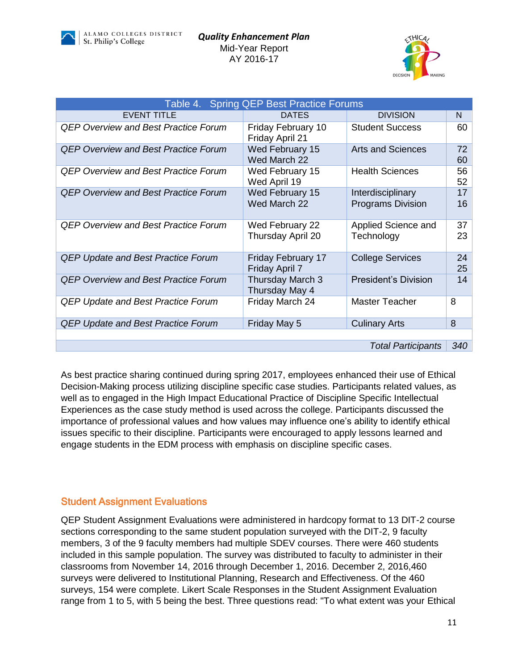



| Table 4. Spring QEP Best Practice Forums    |                                              |                                               |          |
|---------------------------------------------|----------------------------------------------|-----------------------------------------------|----------|
| <b>EVENT TITLE</b>                          | <b>DATES</b>                                 | <b>DIVISION</b>                               | N        |
| <b>QEP Overview and Best Practice Forum</b> | <b>Friday February 10</b><br>Friday April 21 | <b>Student Success</b>                        | 60       |
| <b>QEP Overview and Best Practice Forum</b> | Wed February 15<br>Wed March 22              | <b>Arts and Sciences</b>                      | 72<br>60 |
| <b>QEP Overview and Best Practice Forum</b> | Wed February 15<br>Wed April 19              | <b>Health Sciences</b>                        | 56<br>52 |
| <b>QEP Overview and Best Practice Forum</b> | Wed February 15<br>Wed March 22              | Interdisciplinary<br><b>Programs Division</b> | 17<br>16 |
| <b>QEP Overview and Best Practice Forum</b> | Wed February 22<br>Thursday April 20         | Applied Science and<br>Technology             | 37<br>23 |
| <b>QEP Update and Best Practice Forum</b>   | <b>Friday February 17</b><br>Friday April 7  | <b>College Services</b>                       | 24<br>25 |
| <b>QEP Overview and Best Practice Forum</b> | Thursday March 3<br>Thursday May 4           | <b>President's Division</b>                   | 14       |
| <b>QEP Update and Best Practice Forum</b>   | Friday March 24                              | Master Teacher                                | 8        |
| <b>QEP Update and Best Practice Forum</b>   | Friday May 5                                 | <b>Culinary Arts</b>                          | 8        |
|                                             |                                              |                                               |          |
|                                             |                                              | <b>Total Participants</b>                     | 340      |

As best practice sharing continued during spring 2017, employees enhanced their use of Ethical Decision-Making process utilizing discipline specific case studies. Participants related values, as well as to engaged in the High Impact Educational Practice of Discipline Specific Intellectual Experiences as the case study method is used across the college. Participants discussed the importance of professional values and how values may influence one's ability to identify ethical issues specific to their discipline. Participants were encouraged to apply lessons learned and engage students in the EDM process with emphasis on discipline specific cases.

#### Student Assignment Evaluations

QEP Student Assignment Evaluations were administered in hardcopy format to 13 DIT-2 course sections corresponding to the same student population surveyed with the DIT-2, 9 faculty members, 3 of the 9 faculty members had multiple SDEV courses. There were 460 students included in this sample population. The survey was distributed to faculty to administer in their classrooms from November 14, 2016 through December 1, 2016. December 2, 2016,460 surveys were delivered to Institutional Planning, Research and Effectiveness. Of the 460 surveys, 154 were complete. Likert Scale Responses in the Student Assignment Evaluation range from 1 to 5, with 5 being the best. Three questions read: "To what extent was your Ethical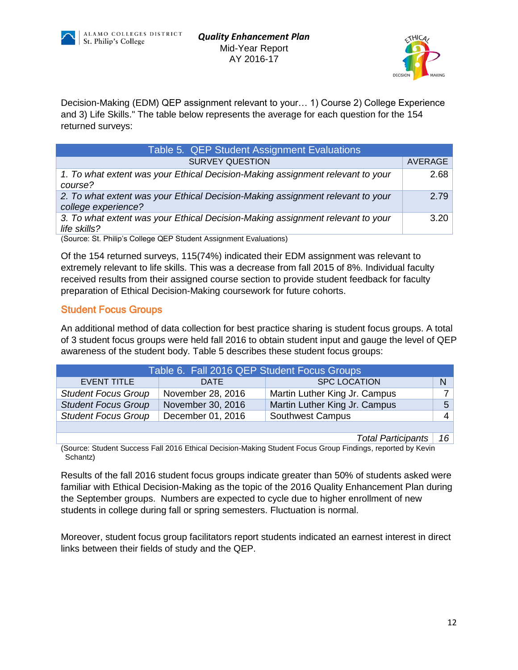



Decision-Making (EDM) QEP assignment relevant to your… 1) Course 2) College Experience and 3) Life Skills." The table below represents the average for each question for the 154 returned surveys:

| Table 5. QEP Student Assignment Evaluations                                                           |         |
|-------------------------------------------------------------------------------------------------------|---------|
| <b>SURVEY QUESTION</b>                                                                                | AVERAGE |
| 1. To what extent was your Ethical Decision-Making assignment relevant to your<br>course?             | 2.68    |
| 2. To what extent was your Ethical Decision-Making assignment relevant to your<br>college experience? | 2.79    |
| 3. To what extent was your Ethical Decision-Making assignment relevant to your<br>life skills?        | 3.20    |
|                                                                                                       |         |

(Source: St. Philip's College QEP Student Assignment Evaluations)

Of the 154 returned surveys, 115(74%) indicated their EDM assignment was relevant to extremely relevant to life skills. This was a decrease from fall 2015 of 8%. Individual faculty received results from their assigned course section to provide student feedback for faculty preparation of Ethical Decision-Making coursework for future cohorts.

#### Student Focus Groups

An additional method of data collection for best practice sharing is student focus groups. A total of 3 student focus groups were held fall 2016 to obtain student input and gauge the level of QEP awareness of the student body. Table 5 describes these student focus groups:

| Table 6. Fall 2016 QEP Student Focus Groups |                   |                               |                |
|---------------------------------------------|-------------------|-------------------------------|----------------|
| EVENT TITLE                                 | <b>DATE</b>       | <b>SPC LOCATION</b>           | N              |
| <b>Student Focus Group</b>                  | November 28, 2016 | Martin Luther King Jr. Campus |                |
| <b>Student Focus Group</b>                  | November 30, 2016 | Martin Luther King Jr. Campus | 5 <sup>1</sup> |
| <b>Student Focus Group</b>                  | December 01, 2016 | <b>Southwest Campus</b>       |                |
|                                             |                   |                               |                |

*Total Participants 16*

(Source: Student Success Fall 2016 Ethical Decision-Making Student Focus Group Findings, reported by Kevin Schantz)

Results of the fall 2016 student focus groups indicate greater than 50% of students asked were familiar with Ethical Decision-Making as the topic of the 2016 Quality Enhancement Plan during the September groups. Numbers are expected to cycle due to higher enrollment of new students in college during fall or spring semesters. Fluctuation is normal.

Moreover, student focus group facilitators report students indicated an earnest interest in direct links between their fields of study and the QEP.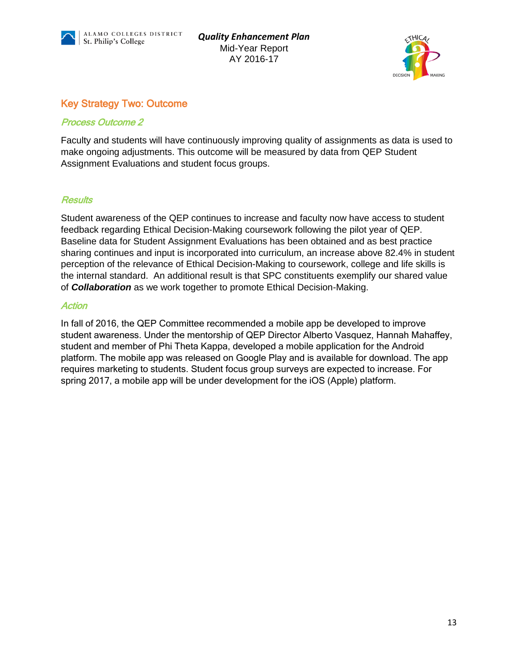



## Key Strategy Two: Outcome

#### Process Outcome 2

Faculty and students will have continuously improving quality of assignments as data is used to make ongoing adjustments. This outcome will be measured by data from QEP Student Assignment Evaluations and student focus groups.

#### **Results**

Student awareness of the QEP continues to increase and faculty now have access to student feedback regarding Ethical Decision-Making coursework following the pilot year of QEP. Baseline data for Student Assignment Evaluations has been obtained and as best practice sharing continues and input is incorporated into curriculum, an increase above 82.4% in student perception of the relevance of Ethical Decision-Making to coursework, college and life skills is the internal standard. An additional result is that SPC constituents exemplify our shared value of *Collaboration* as we work together to promote Ethical Decision-Making.

#### **Action**

In fall of 2016, the QEP Committee recommended a mobile app be developed to improve student awareness. Under the mentorship of QEP Director Alberto Vasquez, Hannah Mahaffey, student and member of Phi Theta Kappa, developed a mobile application for the Android platform. The mobile app was released on Google Play and is available for download. The app requires marketing to students. Student focus group surveys are expected to increase. For spring 2017, a mobile app will be under development for the iOS (Apple) platform.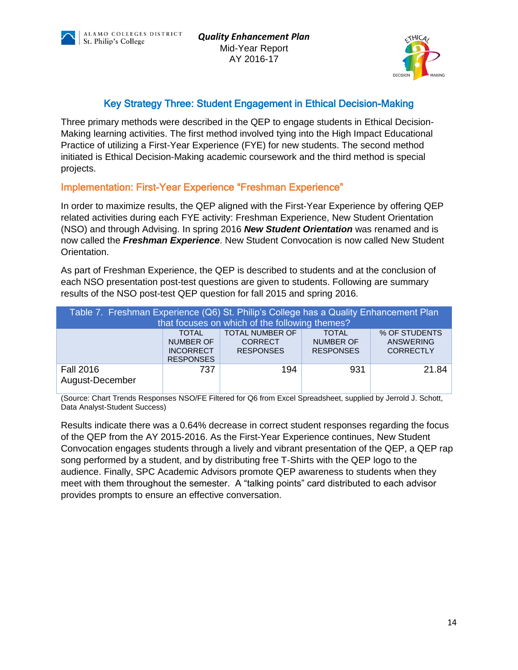



## Key Strategy Three: Student Engagement in Ethical Decision-Making

Three primary methods were described in the QEP to engage students in Ethical Decision-Making learning activities. The first method involved tying into the High Impact Educational Practice of utilizing a First-Year Experience (FYE) for new students. The second method initiated is Ethical Decision-Making academic coursework and the third method is special projects.

Implementation: First-Year Experience "Freshman Experience"

In order to maximize results, the QEP aligned with the First-Year Experience by offering QEP related activities during each FYE activity: Freshman Experience, New Student Orientation (NSO) and through Advising. In spring 2016 *New Student Orientation* was renamed and is now called the *Freshman Experience*. New Student Convocation is now called New Student Orientation.

As part of Freshman Experience, the QEP is described to students and at the conclusion of each NSO presentation post-test questions are given to students. Following are summary results of the NSO post-test QEP question for fall 2015 and spring 2016.

| Table 7. Freshman Experience (Q6) St. Philip's College has a Quality Enhancement Plan<br>that focuses on which of the following themes? |                                                                          |                                                              |                                                      |                                                       |
|-----------------------------------------------------------------------------------------------------------------------------------------|--------------------------------------------------------------------------|--------------------------------------------------------------|------------------------------------------------------|-------------------------------------------------------|
|                                                                                                                                         | <b>TOTAL</b><br><b>NUMBER OF</b><br><b>INCORRECT</b><br><b>RESPONSES</b> | <b>TOTAL NUMBER OF</b><br><b>CORRECT</b><br><b>RESPONSES</b> | <b>TOTAL</b><br><b>NUMBER OF</b><br><b>RESPONSES</b> | % OF STUDENTS<br><b>ANSWERING</b><br><b>CORRECTLY</b> |
| <b>Fall 2016</b><br>August-December                                                                                                     | 737                                                                      | 194                                                          | 931                                                  | 21.84                                                 |

(Source: Chart Trends Responses NSO/FE Filtered for Q6 from Excel Spreadsheet, supplied by Jerrold J. Schott, Data Analyst-Student Success)

Results indicate there was a 0.64% decrease in correct student responses regarding the focus of the QEP from the AY 2015-2016. As the First-Year Experience continues, New Student Convocation engages students through a lively and vibrant presentation of the QEP, a QEP rap song performed by a student, and by distributing free T-Shirts with the QEP logo to the audience. Finally, SPC Academic Advisors promote QEP awareness to students when they meet with them throughout the semester. A "talking points" card distributed to each advisor provides prompts to ensure an effective conversation.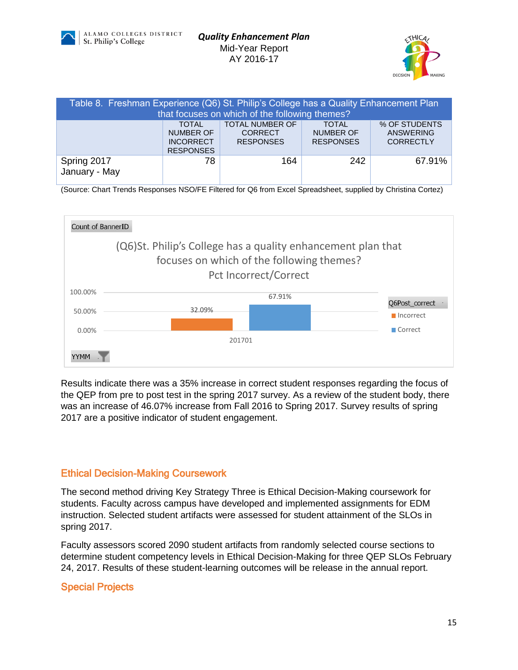



| Table 8. Freshman Experience (Q6) St. Philip's College has a Quality Enhancement Plan<br>that focuses on which of the following themes? |                                                                                                                                                                                                                                                           |     |     |        |  |
|-----------------------------------------------------------------------------------------------------------------------------------------|-----------------------------------------------------------------------------------------------------------------------------------------------------------------------------------------------------------------------------------------------------------|-----|-----|--------|--|
|                                                                                                                                         | <b>TOTAL NUMBER OF</b><br>% OF STUDENTS<br><b>TOTAL</b><br><b>TOTAL</b><br><b>NUMBER OF</b><br><b>NUMBER OF</b><br><b>ANSWERING</b><br><b>CORRECT</b><br><b>RESPONSES</b><br><b>RESPONSES</b><br><b>CORRECTLY</b><br><b>INCORRECT</b><br><b>RESPONSES</b> |     |     |        |  |
| Spring 2017<br>January - May                                                                                                            | 78                                                                                                                                                                                                                                                        | 164 | 242 | 67.91% |  |

<sup>(</sup>Source: Chart Trends Responses NSO/FE Filtered for Q6 from Excel Spreadsheet, supplied by Christina Cortez)



Results indicate there was a 35% increase in correct student responses regarding the focus of the QEP from pre to post test in the spring 2017 survey. As a review of the student body, there was an increase of 46.07% increase from Fall 2016 to Spring 2017. Survey results of spring 2017 are a positive indicator of student engagement.

## Ethical Decision-Making Coursework

The second method driving Key Strategy Three is Ethical Decision-Making coursework for students. Faculty across campus have developed and implemented assignments for EDM instruction. Selected student artifacts were assessed for student attainment of the SLOs in spring 2017.

Faculty assessors scored 2090 student artifacts from randomly selected course sections to determine student competency levels in Ethical Decision-Making for three QEP SLOs February 24, 2017. Results of these student-learning outcomes will be release in the annual report.

#### Special Projects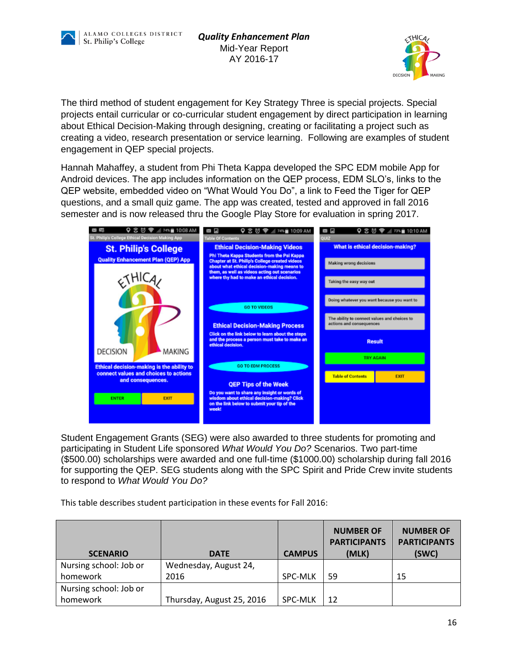



The third method of student engagement for Key Strategy Three is special projects. Special projects entail curricular or co-curricular student engagement by direct participation in learning about Ethical Decision-Making through designing, creating or facilitating a project such as creating a video, research presentation or service learning. Following are examples of student engagement in QEP special projects.

Hannah Mahaffey, a student from Phi Theta Kappa developed the SPC EDM mobile App for Android devices. The app includes information on the QEP process, EDM SLO's, links to the QEP website, embedded video on "What Would You Do", a link to Feed the Tiger for QEP questions, and a small quiz game. The app was created, tested and approved in fall 2016 semester and is now released thru the Google Play Store for evaluation in spring 2017.



Student Engagement Grants (SEG) were also awarded to three students for promoting and participating in Student Life sponsored *What Would You Do?* Scenarios. Two part-time (\$500.00) scholarships were awarded and one full-time (\$1000.00) scholarship during fall 2016 for supporting the QEP. SEG students along with the SPC Spirit and Pride Crew invite students to respond to *What Would You Do?*

This table describes student participation in these events for Fall 2016:

| <b>SCENARIO</b>        | <b>CAMPUS</b><br><b>DATE</b> |                | <b>NUMBER OF</b><br><b>PARTICIPANTS</b><br>(MLK) | <b>NUMBER OF</b><br><b>PARTICIPANTS</b><br>(SWC) |
|------------------------|------------------------------|----------------|--------------------------------------------------|--------------------------------------------------|
| Nursing school: Job or | Wednesday, August 24,        |                |                                                  |                                                  |
| homework               | 2016                         | <b>SPC-MLK</b> | 59                                               | 15                                               |
| Nursing school: Job or |                              |                |                                                  |                                                  |
| homework               | Thursday, August 25, 2016    | <b>SPC-MLK</b> | 12                                               |                                                  |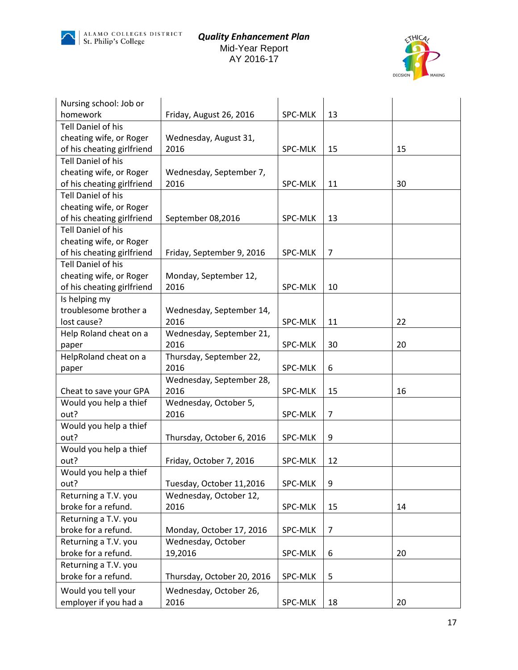



| Nursing school: Job or     |                            |                |                |    |
|----------------------------|----------------------------|----------------|----------------|----|
| homework                   | Friday, August 26, 2016    | <b>SPC-MLK</b> | 13             |    |
| <b>Tell Daniel of his</b>  |                            |                |                |    |
| cheating wife, or Roger    | Wednesday, August 31,      |                |                |    |
| of his cheating girlfriend | 2016                       | <b>SPC-MLK</b> | 15             | 15 |
| Tell Daniel of his         |                            |                |                |    |
| cheating wife, or Roger    | Wednesday, September 7,    |                |                |    |
| of his cheating girlfriend | 2016                       | <b>SPC-MLK</b> | 11             | 30 |
| Tell Daniel of his         |                            |                |                |    |
| cheating wife, or Roger    |                            |                |                |    |
| of his cheating girlfriend | September 08,2016          | SPC-MLK        | 13             |    |
| Tell Daniel of his         |                            |                |                |    |
| cheating wife, or Roger    |                            |                |                |    |
| of his cheating girlfriend | Friday, September 9, 2016  | <b>SPC-MLK</b> | $\overline{7}$ |    |
| Tell Daniel of his         |                            |                |                |    |
| cheating wife, or Roger    | Monday, September 12,      |                |                |    |
| of his cheating girlfriend | 2016                       | <b>SPC-MLK</b> | 10             |    |
| Is helping my              |                            |                |                |    |
| troublesome brother a      | Wednesday, September 14,   |                |                |    |
| lost cause?                | 2016                       | <b>SPC-MLK</b> | 11             | 22 |
| Help Roland cheat on a     | Wednesday, September 21,   |                |                |    |
| paper                      | 2016                       | SPC-MLK        | 30             | 20 |
| HelpRoland cheat on a      | Thursday, September 22,    |                |                |    |
| paper                      | 2016                       | <b>SPC-MLK</b> | 6              |    |
|                            | Wednesday, September 28,   |                |                |    |
| Cheat to save your GPA     | 2016                       | <b>SPC-MLK</b> | 15             | 16 |
| Would you help a thief     | Wednesday, October 5,      |                |                |    |
| out?                       | 2016                       | <b>SPC-MLK</b> | 7              |    |
| Would you help a thief     |                            |                |                |    |
| out?                       | Thursday, October 6, 2016  | SPC-MLK        | 9              |    |
| Would you help a thief     |                            |                |                |    |
| out?                       | Friday, October 7, 2016    | <b>SPC-MLK</b> | 12             |    |
| Would you help a thief     |                            |                |                |    |
| out?                       | Tuesday, October 11,2016   | SPC-MLK        | 9              |    |
| Returning a T.V. you       | Wednesday, October 12,     |                |                |    |
| broke for a refund.        | 2016                       | SPC-MLK        | 15             | 14 |
| Returning a T.V. you       |                            |                |                |    |
| broke for a refund.        | Monday, October 17, 2016   | SPC-MLK        | $\overline{7}$ |    |
| Returning a T.V. you       | Wednesday, October         |                |                |    |
| broke for a refund.        | 19,2016                    | SPC-MLK        | 6              | 20 |
| Returning a T.V. you       |                            |                |                |    |
| broke for a refund.        | Thursday, October 20, 2016 | SPC-MLK        | 5              |    |
| Would you tell your        | Wednesday, October 26,     |                |                |    |
| employer if you had a      | 2016                       | SPC-MLK        | 18             | 20 |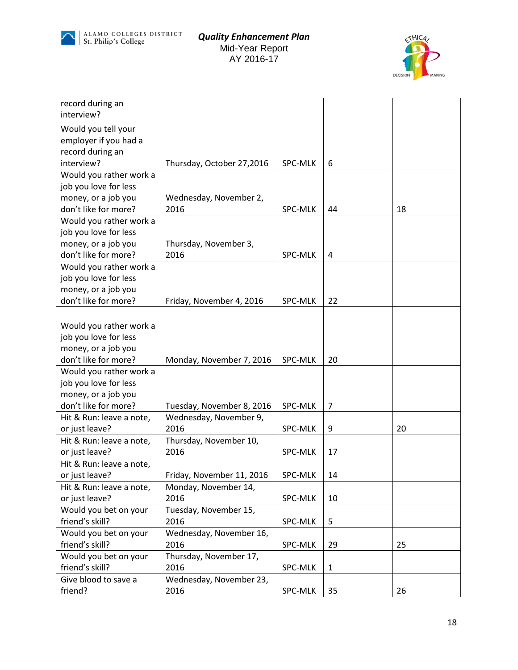



| record during an         |                           |                |                         |    |
|--------------------------|---------------------------|----------------|-------------------------|----|
| interview?               |                           |                |                         |    |
| Would you tell your      |                           |                |                         |    |
| employer if you had a    |                           |                |                         |    |
| record during an         |                           |                |                         |    |
| interview?               | Thursday, October 27,2016 | SPC-MLK        | 6                       |    |
| Would you rather work a  |                           |                |                         |    |
| job you love for less    |                           |                |                         |    |
| money, or a job you      | Wednesday, November 2,    |                |                         |    |
| don't like for more?     | 2016                      | SPC-MLK        | 44                      | 18 |
| Would you rather work a  |                           |                |                         |    |
| job you love for less    |                           |                |                         |    |
| money, or a job you      | Thursday, November 3,     |                |                         |    |
| don't like for more?     | 2016                      | SPC-MLK        | $\overline{\mathbf{4}}$ |    |
| Would you rather work a  |                           |                |                         |    |
| job you love for less    |                           |                |                         |    |
| money, or a job you      |                           |                |                         |    |
| don't like for more?     | Friday, November 4, 2016  | <b>SPC-MLK</b> | 22                      |    |
|                          |                           |                |                         |    |
| Would you rather work a  |                           |                |                         |    |
| job you love for less    |                           |                |                         |    |
| money, or a job you      |                           |                |                         |    |
| don't like for more?     | Monday, November 7, 2016  | <b>SPC-MLK</b> | 20                      |    |
| Would you rather work a  |                           |                |                         |    |
| job you love for less    |                           |                |                         |    |
| money, or a job you      |                           |                |                         |    |
| don't like for more?     | Tuesday, November 8, 2016 | SPC-MLK        | $\overline{7}$          |    |
| Hit & Run: leave a note, | Wednesday, November 9,    |                |                         |    |
| or just leave?           | 2016                      | <b>SPC-MLK</b> | 9                       | 20 |
| Hit & Run: leave a note, | Thursday, November 10,    |                |                         |    |
| or just leave?           | 2016                      | SPC-MLK        | 17                      |    |
| Hit & Run: leave a note, |                           |                |                         |    |
| or just leave?           | Friday, November 11, 2016 | SPC-MLK        | 14                      |    |
| Hit & Run: leave a note, | Monday, November 14,      |                |                         |    |
| or just leave?           | 2016                      | SPC-MLK        | 10                      |    |
| Would you bet on your    | Tuesday, November 15,     |                |                         |    |
| friend's skill?          | 2016                      | SPC-MLK        | 5                       |    |
| Would you bet on your    | Wednesday, November 16,   |                |                         |    |
| friend's skill?          | 2016                      | SPC-MLK        | 29                      | 25 |
| Would you bet on your    | Thursday, November 17,    |                |                         |    |
| friend's skill?          | 2016                      | SPC-MLK        | $\mathbf{1}$            |    |
| Give blood to save a     | Wednesday, November 23,   |                |                         |    |
| friend?                  | 2016                      | SPC-MLK        | 35                      | 26 |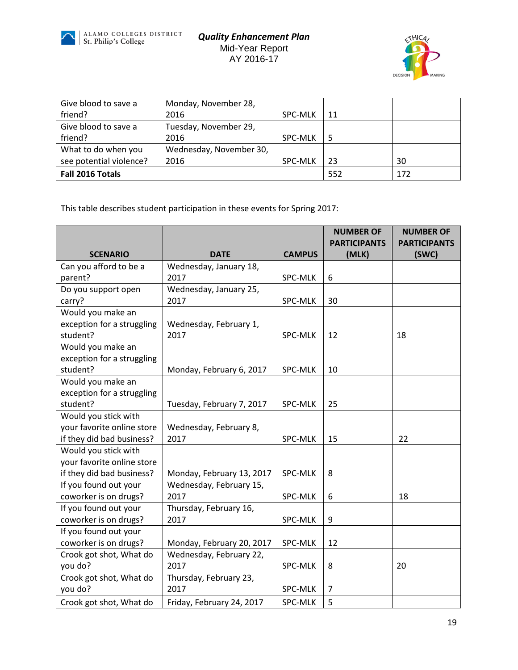



| Give blood to save a    | Monday, November 28,    |                |     |     |
|-------------------------|-------------------------|----------------|-----|-----|
| friend?                 | 2016                    | <b>SPC-MLK</b> | 11  |     |
| Give blood to save a    | Tuesday, November 29,   |                |     |     |
| friend?                 | 2016                    | <b>SPC-MLK</b> | -5  |     |
| What to do when you     | Wednesday, November 30, |                |     |     |
| see potential violence? | 2016                    | <b>SPC-MLK</b> | 23  | 30  |
| Fall 2016 Totals        |                         |                | 552 | 172 |

This table describes student participation in these events for Spring 2017:

|                            |                           |                | <b>NUMBER OF</b>    | <b>NUMBER OF</b>    |
|----------------------------|---------------------------|----------------|---------------------|---------------------|
| <b>SCENARIO</b>            | <b>DATE</b>               | <b>CAMPUS</b>  | <b>PARTICIPANTS</b> | <b>PARTICIPANTS</b> |
| Can you afford to be a     | Wednesday, January 18,    |                | (MLK)               | (SWC)               |
| parent?                    | 2017                      | SPC-MLK        | 6                   |                     |
| Do you support open        | Wednesday, January 25,    |                |                     |                     |
| carry?                     | 2017                      | SPC-MLK        | 30                  |                     |
| Would you make an          |                           |                |                     |                     |
| exception for a struggling | Wednesday, February 1,    |                |                     |                     |
| student?                   | 2017                      | <b>SPC-MLK</b> | 12                  | 18                  |
| Would you make an          |                           |                |                     |                     |
| exception for a struggling |                           |                |                     |                     |
| student?                   | Monday, February 6, 2017  | SPC-MLK        | 10                  |                     |
| Would you make an          |                           |                |                     |                     |
| exception for a struggling |                           |                |                     |                     |
| student?                   | Tuesday, February 7, 2017 | SPC-MLK        | 25                  |                     |
| Would you stick with       |                           |                |                     |                     |
| your favorite online store | Wednesday, February 8,    |                |                     |                     |
| if they did bad business?  | 2017                      | <b>SPC-MLK</b> | 15                  | 22                  |
| Would you stick with       |                           |                |                     |                     |
| your favorite online store |                           |                |                     |                     |
| if they did bad business?  | Monday, February 13, 2017 | SPC-MLK        | 8                   |                     |
| If you found out your      | Wednesday, February 15,   |                |                     |                     |
| coworker is on drugs?      | 2017                      | SPC-MLK        | 6                   | 18                  |
| If you found out your      | Thursday, February 16,    |                |                     |                     |
| coworker is on drugs?      | 2017                      | <b>SPC-MLK</b> | 9                   |                     |
| If you found out your      |                           |                |                     |                     |
| coworker is on drugs?      | Monday, February 20, 2017 | SPC-MLK        | 12                  |                     |
| Crook got shot, What do    | Wednesday, February 22,   |                |                     |                     |
| you do?                    | 2017                      | SPC-MLK        | 8                   | 20                  |
| Crook got shot, What do    | Thursday, February 23,    |                |                     |                     |
| you do?                    | 2017                      | <b>SPC-MLK</b> | 7                   |                     |
| Crook got shot, What do    | Friday, February 24, 2017 | SPC-MLK        | 5                   |                     |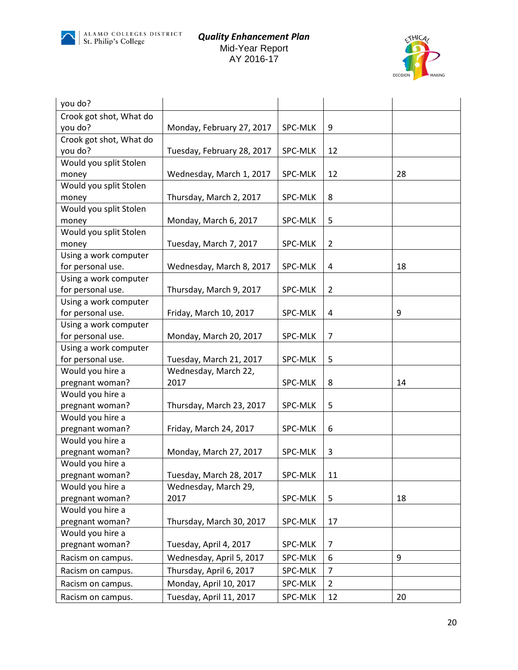



| you do?                 |                            |                |                |    |
|-------------------------|----------------------------|----------------|----------------|----|
| Crook got shot, What do |                            |                |                |    |
| you do?                 | Monday, February 27, 2017  | SPC-MLK        | 9              |    |
| Crook got shot, What do |                            |                |                |    |
| you do?                 | Tuesday, February 28, 2017 | SPC-MLK        | 12             |    |
| Would you split Stolen  |                            |                |                |    |
| money                   | Wednesday, March 1, 2017   | SPC-MLK        | 12             | 28 |
| Would you split Stolen  |                            |                |                |    |
| money                   | Thursday, March 2, 2017    | SPC-MLK        | 8              |    |
| Would you split Stolen  |                            |                |                |    |
| money                   | Monday, March 6, 2017      | SPC-MLK        | 5              |    |
| Would you split Stolen  |                            |                |                |    |
| money                   | Tuesday, March 7, 2017     | SPC-MLK        | $\overline{2}$ |    |
| Using a work computer   |                            |                |                |    |
| for personal use.       | Wednesday, March 8, 2017   | <b>SPC-MLK</b> | 4              | 18 |
| Using a work computer   |                            |                |                |    |
| for personal use.       | Thursday, March 9, 2017    | SPC-MLK        | $\overline{2}$ |    |
| Using a work computer   |                            |                |                |    |
| for personal use.       | Friday, March 10, 2017     | SPC-MLK        | 4              | 9  |
| Using a work computer   |                            |                |                |    |
| for personal use.       | Monday, March 20, 2017     | SPC-MLK        | 7              |    |
| Using a work computer   |                            |                |                |    |
| for personal use.       | Tuesday, March 21, 2017    | SPC-MLK        | 5              |    |
| Would you hire a        | Wednesday, March 22,       |                |                |    |
| pregnant woman?         | 2017                       | SPC-MLK        | 8              | 14 |
| Would you hire a        |                            |                |                |    |
| pregnant woman?         | Thursday, March 23, 2017   | SPC-MLK        | 5              |    |
| Would you hire a        |                            |                |                |    |
| pregnant woman?         | Friday, March 24, 2017     | SPC-MLK        | 6              |    |
| Would you hire a        |                            |                |                |    |
| pregnant woman?         | Monday, March 27, 2017     | SPC-MLK        | 3              |    |
| Would you hire a        |                            |                |                |    |
| pregnant woman?         | Tuesday, March 28, 2017    | SPC-MLK        | 11             |    |
| Would you hire a        | Wednesday, March 29,       |                |                |    |
| pregnant woman?         | 2017                       | SPC-MLK        | 5              | 18 |
| Would you hire a        |                            |                |                |    |
| pregnant woman?         | Thursday, March 30, 2017   | SPC-MLK        | 17             |    |
| Would you hire a        |                            |                |                |    |
| pregnant woman?         | Tuesday, April 4, 2017     | <b>SPC-MLK</b> | 7              |    |
| Racism on campus.       | Wednesday, April 5, 2017   | SPC-MLK        | 6              | 9  |
| Racism on campus.       | Thursday, April 6, 2017    | SPC-MLK        | $\overline{7}$ |    |
| Racism on campus.       | Monday, April 10, 2017     | SPC-MLK        | $\overline{2}$ |    |
| Racism on campus.       | Tuesday, April 11, 2017    | SPC-MLK        | 12             | 20 |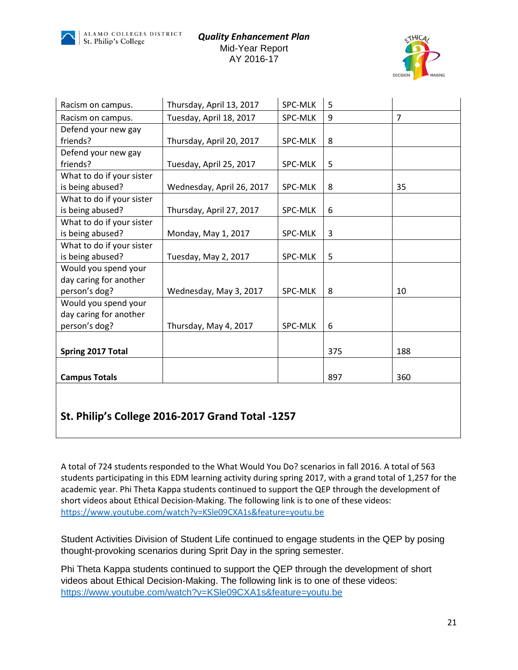



| Racism on campus.         | Thursday, April 13, 2017  | SPC-MLK        | 5   |                |
|---------------------------|---------------------------|----------------|-----|----------------|
| Racism on campus.         | Tuesday, April 18, 2017   | <b>SPC-MLK</b> | 9   | $\overline{7}$ |
| Defend your new gay       |                           |                |     |                |
| friends?                  | Thursday, April 20, 2017  | <b>SPC-MLK</b> | 8   |                |
| Defend your new gay       |                           |                |     |                |
| friends?                  | Tuesday, April 25, 2017   | <b>SPC-MLK</b> | 5   |                |
| What to do if your sister |                           |                |     |                |
| is being abused?          | Wednesday, April 26, 2017 | <b>SPC-MLK</b> | 8   | 35             |
| What to do if your sister |                           |                |     |                |
| is being abused?          | Thursday, April 27, 2017  | <b>SPC-MLK</b> | 6   |                |
| What to do if your sister |                           |                |     |                |
| is being abused?          | Monday, May 1, 2017       | <b>SPC-MLK</b> | 3   |                |
| What to do if your sister |                           |                |     |                |
| is being abused?          | Tuesday, May 2, 2017      | <b>SPC-MLK</b> | 5   |                |
| Would you spend your      |                           |                |     |                |
| day caring for another    |                           |                |     |                |
| person's dog?             | Wednesday, May 3, 2017    | <b>SPC-MLK</b> | 8   | 10             |
| Would you spend your      |                           |                |     |                |
| day caring for another    |                           |                |     |                |
| person's dog?             | Thursday, May 4, 2017     | <b>SPC-MLK</b> | 6   |                |
|                           |                           |                |     |                |
| Spring 2017 Total         |                           |                | 375 | 188            |
|                           |                           |                |     |                |
| <b>Campus Totals</b>      |                           |                | 897 | 360            |

## **St. Philip's College 2016-2017 Grand Total -1257**

A total of 724 students responded to the What Would You Do? scenarios in fall 2016. A total of 563 students participating in this EDM learning activity during spring 2017, with a grand total of 1,257 for the academic year. Phi Theta Kappa students continued to support the QEP through the development of short videos about Ethical Decision-Making. The following link is to one of these videos: <https://www.youtube.com/watch?v=KSle09CXA1s&feature=youtu.be>

Student Activities Division of Student Life continued to engage students in the QEP by posing thought-provoking scenarios during Sprit Day in the spring semester.

Phi Theta Kappa students continued to support the QEP through the development of short videos about Ethical Decision-Making. The following link is to one of these videos: <https://www.youtube.com/watch?v=KSle09CXA1s&feature=youtu.be>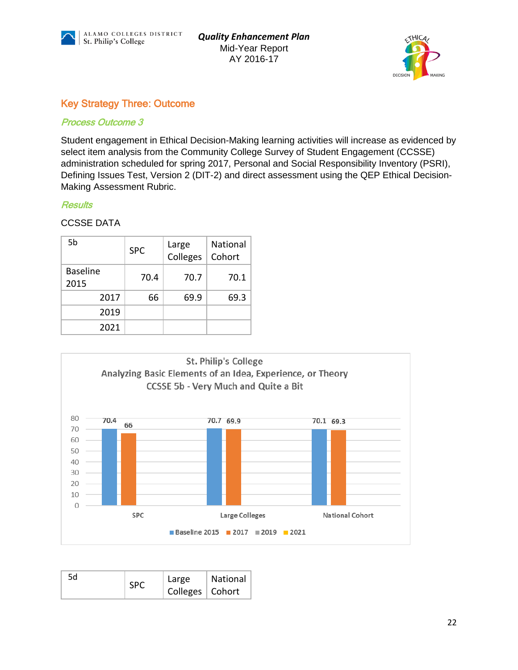



## Key Strategy Three: Outcome

#### Process Outcome 3

Student engagement in Ethical Decision-Making learning activities will increase as evidenced by select item analysis from the Community College Survey of Student Engagement (CCSSE) administration scheduled for spring 2017, Personal and Social Responsibility Inventory (PSRI), Defining Issues Test, Version 2 (DIT-2) and direct assessment using the QEP Ethical Decision-Making Assessment Rubric.

#### **Results**

#### CCSSE DATA

| 5b                      | <b>SPC</b> |      | Large<br>Colleges | <b>National</b><br>Cohort |
|-------------------------|------------|------|-------------------|---------------------------|
| <b>Baseline</b><br>2015 |            | 70.4 | 70.7              | 70.1                      |
| 2017                    |            | 66   | 69.9              | 69.3                      |
| 2019                    |            |      |                   |                           |
| 2021                    |            |      |                   |                           |



| 5d<br><b>SPC</b> | Large<br>Colleges   Cohort | National |
|------------------|----------------------------|----------|
|------------------|----------------------------|----------|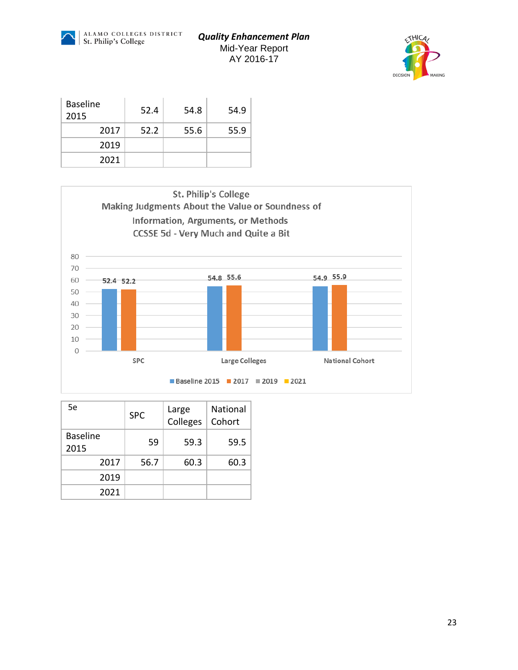



| <b>Baseline</b><br>2015 | 52.4 | 54.8 | 54.9 |
|-------------------------|------|------|------|
| 2017                    | 52.2 | 55.6 | 55.9 |
| 2019                    |      |      |      |
| 2021                    |      |      |      |



| 5e                      | <b>SPC</b> | Large<br>Colleges | <b>National</b><br>Cohort |
|-------------------------|------------|-------------------|---------------------------|
| <b>Baseline</b><br>2015 | 59         | 59.3              | 59.5                      |
| 2017                    | 56.7       | 60.3              | 60.3                      |
| 2019                    |            |                   |                           |
| 2021                    |            |                   |                           |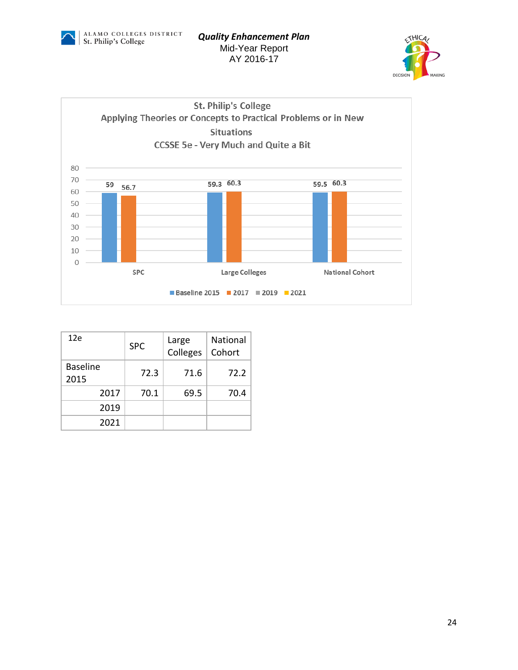





| 12e                     | <b>SPC</b> | Large<br>Colleges | <b>National</b><br>Cohort |
|-------------------------|------------|-------------------|---------------------------|
| <b>Baseline</b><br>2015 | 72.3       | 71.6              | 72.2                      |
| 2017                    | 70.1       | 69.5              | 70.4                      |
| 2019                    |            |                   |                           |
| 2021                    |            |                   |                           |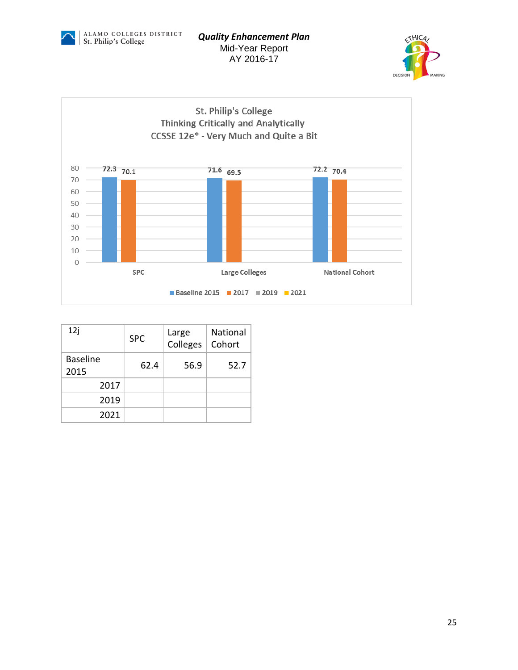





| 12j                     | <b>SPC</b> | Large<br>Colleges | <b>National</b><br>Cohort |
|-------------------------|------------|-------------------|---------------------------|
| <b>Baseline</b><br>2015 | 62.4       | 56.9              | 52.7                      |
| 2017                    |            |                   |                           |
| 2019                    |            |                   |                           |
| 2021                    |            |                   |                           |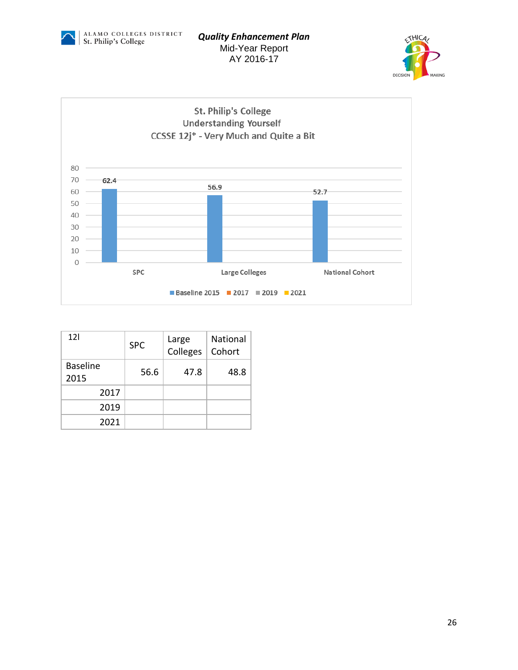





| 12 <sup>1</sup>         | <b>SPC</b> | Large<br>Colleges | <b>National</b><br>Cohort |
|-------------------------|------------|-------------------|---------------------------|
| <b>Baseline</b><br>2015 | 56.6       | 47.8              | 48.8                      |
| 2017                    |            |                   |                           |
| 2019                    |            |                   |                           |
| 2021                    |            |                   |                           |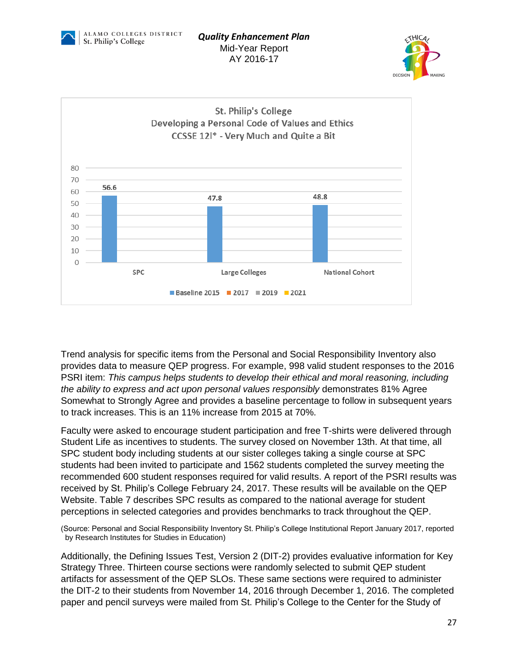





Trend analysis for specific items from the Personal and Social Responsibility Inventory also provides data to measure QEP progress. For example, 998 valid student responses to the 2016 PSRI item: *This campus helps students to develop their ethical and moral reasoning, including the ability to express and act upon personal values responsibly* demonstrates 81% Agree Somewhat to Strongly Agree and provides a baseline percentage to follow in subsequent years to track increases. This is an 11% increase from 2015 at 70%.

Faculty were asked to encourage student participation and free T-shirts were delivered through Student Life as incentives to students. The survey closed on November 13th. At that time, all SPC student body including students at our sister colleges taking a single course at SPC students had been invited to participate and 1562 students completed the survey meeting the recommended 600 student responses required for valid results. A report of the PSRI results was received by St. Philip's College February 24, 2017. These results will be available on the [QEP](file:///F:/The%20complete%20PSRI%20report%20for%20Fall%202015%20is%20available%20on%20the%20QEP%20website)  [Website.](file:///F:/The%20complete%20PSRI%20report%20for%20Fall%202015%20is%20available%20on%20the%20QEP%20website) Table 7 describes SPC results as compared to the national average for student perceptions in selected categories and provides benchmarks to track throughout the QEP.

(Source: Personal and Social Responsibility Inventory St. Philip's College Institutional Report January 2017, reported by Research Institutes for Studies in Education)

Additionally, the Defining Issues Test, Version 2 (DIT-2) provides evaluative information for Key Strategy Three. Thirteen course sections were randomly selected to submit QEP student artifacts for assessment of the QEP SLOs. These same sections were required to administer the DIT-2 to their students from November 14, 2016 through December 1, 2016. The completed paper and pencil surveys were mailed from St. Philip's College to the Center for the Study of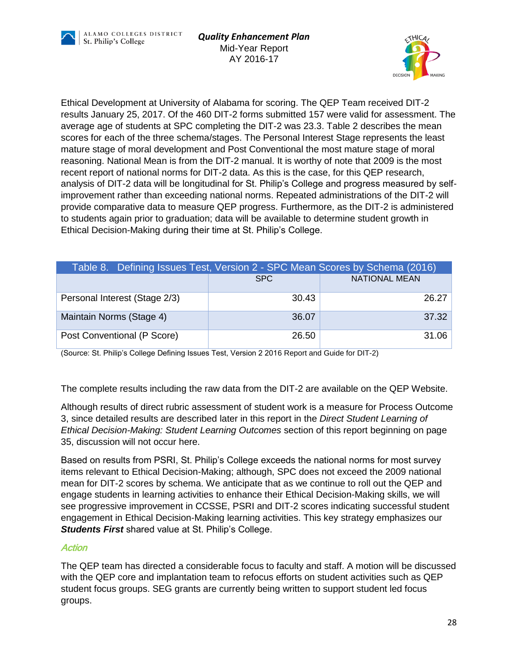



Ethical Development at University of Alabama for scoring. The QEP Team received DIT-2 results January 25, 2017. Of the 460 DIT-2 forms submitted 157 were valid for assessment. The average age of students at SPC completing the DIT-2 was 23.3. Table 2 describes the mean scores for each of the three schema/stages. The Personal Interest Stage represents the least mature stage of moral development and Post Conventional the most mature stage of moral reasoning. National Mean is from the DIT-2 manual. It is worthy of note that 2009 is the most recent report of national norms for DIT-2 data. As this is the case, for this QEP research, analysis of DIT-2 data will be longitudinal for St. Philip's College and progress measured by selfimprovement rather than exceeding national norms. Repeated administrations of the DIT-2 will provide comparative data to measure QEP progress. Furthermore, as the DIT-2 is administered to students again prior to graduation; data will be available to determine student growth in Ethical Decision-Making during their time at St. Philip's College.

| Table 8. Defining Issues Test, Version 2 - SPC Mean Scores by Schema (2016) |       |                      |  |  |
|-----------------------------------------------------------------------------|-------|----------------------|--|--|
|                                                                             | SPC.  | <b>NATIONAL MEAN</b> |  |  |
| Personal Interest (Stage 2/3)                                               | 30.43 | 26.27                |  |  |
| Maintain Norms (Stage 4)                                                    | 36.07 | 37.32                |  |  |
| Post Conventional (P Score)                                                 | 26.50 | 31.06                |  |  |

(Source: St. Philip's College Defining Issues Test, Version 2 2016 Report and Guide for DIT-2)

The complete results including the raw data from the DIT-2 are available on the [QEP Website.](http://alamo.edu/uploadedFiles/SPC/Faculty_and_Staff/QEP/Files/SPC%20DIT-2%20Fall%202015.pdf)

Although results of direct rubric assessment of student work is a measure for Process Outcome 3, since detailed results are described later in this report in the *Direct Student Learning of Ethical Decision-Making: Student Learning Outcomes* section of this report beginning on page 35, discussion will not occur here.

Based on results from PSRI, St. Philip's College exceeds the national norms for most survey items relevant to Ethical Decision-Making; although, SPC does not exceed the 2009 national mean for DIT-2 scores by schema. We anticipate that as we continue to roll out the QEP and engage students in learning activities to enhance their Ethical Decision-Making skills, we will see progressive improvement in CCSSE, PSRI and DIT-2 scores indicating successful student engagement in Ethical Decision-Making learning activities. This key strategy emphasizes our *Students First* shared value at St. Philip's College.

#### **Action**

The QEP team has directed a considerable focus to faculty and staff. A motion will be discussed with the QEP core and implantation team to refocus efforts on student activities such as QEP student focus groups. SEG grants are currently being written to support student led focus groups.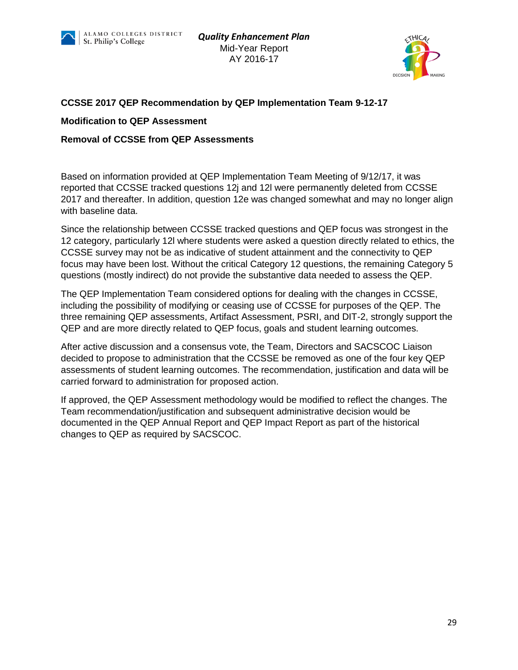



#### **CCSSE 2017 QEP Recommendation by QEP Implementation Team 9-12-17**

#### **Modification to QEP Assessment**

#### **Removal of CCSSE from QEP Assessments**

Based on information provided at QEP Implementation Team Meeting of 9/12/17, it was reported that CCSSE tracked questions 12j and 12l were permanently deleted from CCSSE 2017 and thereafter. In addition, question 12e was changed somewhat and may no longer align with baseline data.

Since the relationship between CCSSE tracked questions and QEP focus was strongest in the 12 category, particularly 12l where students were asked a question directly related to ethics, the CCSSE survey may not be as indicative of student attainment and the connectivity to QEP focus may have been lost. Without the critical Category 12 questions, the remaining Category 5 questions (mostly indirect) do not provide the substantive data needed to assess the QEP.

The QEP Implementation Team considered options for dealing with the changes in CCSSE, including the possibility of modifying or ceasing use of CCSSE for purposes of the QEP. The three remaining QEP assessments, Artifact Assessment, PSRI, and DIT-2, strongly support the QEP and are more directly related to QEP focus, goals and student learning outcomes.

After active discussion and a consensus vote, the Team, Directors and SACSCOC Liaison decided to propose to administration that the CCSSE be removed as one of the four key QEP assessments of student learning outcomes. The recommendation, justification and data will be carried forward to administration for proposed action.

If approved, the QEP Assessment methodology would be modified to reflect the changes. The Team recommendation/justification and subsequent administrative decision would be documented in the QEP Annual Report and QEP Impact Report as part of the historical changes to QEP as required by SACSCOC.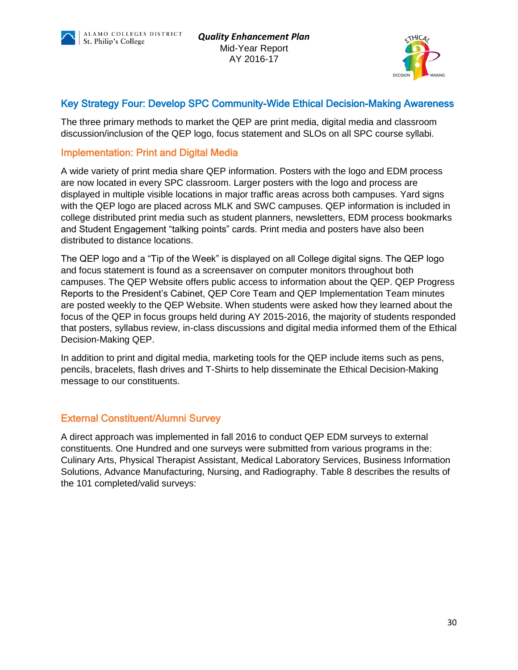



## Key Strategy Four: Develop SPC Community-Wide Ethical Decision-Making Awareness

The three primary methods to market the QEP are print media, digital media and classroom discussion/inclusion of the QEP logo, focus statement and SLOs on all SPC course syllabi.

#### Implementation: Print and Digital Media

A wide variety of print media share QEP information. Posters with the logo and EDM process are now located in every SPC classroom. Larger posters with the logo and process are displayed in multiple visible locations in major traffic areas across both campuses. Yard signs with the QEP logo are placed across MLK and SWC campuses. QEP information is included in college distributed print media such as student planners, newsletters, EDM process bookmarks and Student Engagement "talking points" cards. Print media and posters have also been distributed to distance locations.

The QEP logo and a "Tip of the Week" is displayed on all College digital signs. The QEP logo and focus statement is found as a screensaver on computer monitors throughout both campuses. The QEP Website offers public access to information about the QEP. QEP Progress Reports to the President's Cabinet, QEP Core Team and QEP Implementation Team minutes are posted weekly to the QEP Website. When students were asked how they learned about the focus of the QEP in focus groups held during AY 2015-2016, the majority of students responded that posters, syllabus review, in-class discussions and digital media informed them of the Ethical Decision-Making QEP.

In addition to print and digital media, marketing tools for the QEP include items such as pens, pencils, bracelets, flash drives and T-Shirts to help disseminate the Ethical Decision-Making message to our constituents.

## External Constituent/Alumni Survey

A direct approach was implemented in fall 2016 to conduct QEP EDM surveys to external constituents. One Hundred and one surveys were submitted from various programs in the: Culinary Arts, Physical Therapist Assistant, Medical Laboratory Services, Business Information Solutions, Advance Manufacturing, Nursing, and Radiography. Table 8 describes the results of the 101 completed/valid surveys: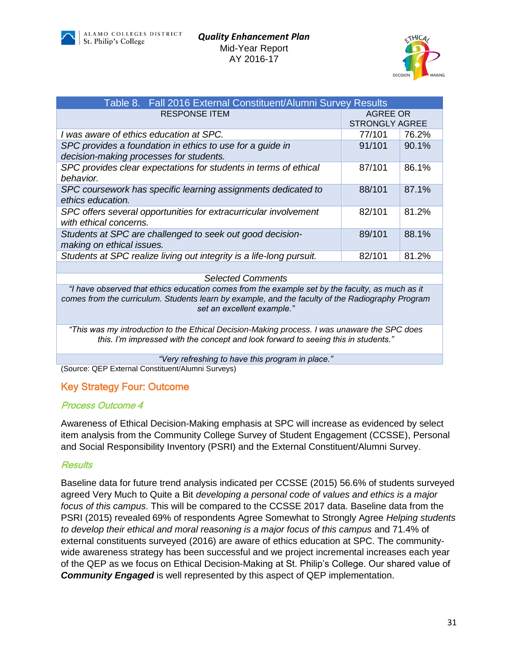



| Table 8. Fall 2016 External Constituent/Alumni Survey Results        |                       |       |  |  |  |  |  |  |  |
|----------------------------------------------------------------------|-----------------------|-------|--|--|--|--|--|--|--|
| <b>RESPONSE ITEM</b>                                                 | AGREE OR              |       |  |  |  |  |  |  |  |
|                                                                      | <b>STRONGLY AGREE</b> |       |  |  |  |  |  |  |  |
| I was aware of ethics education at SPC.                              | 77/101                | 76.2% |  |  |  |  |  |  |  |
| SPC provides a foundation in ethics to use for a guide in            | 91/101                | 90.1% |  |  |  |  |  |  |  |
| decision-making processes for students.                              |                       |       |  |  |  |  |  |  |  |
| SPC provides clear expectations for students in terms of ethical     | 87/101                | 86.1% |  |  |  |  |  |  |  |
| behavior.                                                            |                       |       |  |  |  |  |  |  |  |
| SPC coursework has specific learning assignments dedicated to        | 88/101                | 87.1% |  |  |  |  |  |  |  |
| ethics education.                                                    |                       |       |  |  |  |  |  |  |  |
| SPC offers several opportunities for extracurricular involvement     | 82/101                | 81.2% |  |  |  |  |  |  |  |
| with ethical concerns.                                               |                       |       |  |  |  |  |  |  |  |
| Students at SPC are challenged to seek out good decision-            | 89/101                | 88.1% |  |  |  |  |  |  |  |
| making on ethical issues.                                            |                       |       |  |  |  |  |  |  |  |
| Students at SPC realize living out integrity is a life-long pursuit. | 82/101                | 81.2% |  |  |  |  |  |  |  |
|                                                                      |                       |       |  |  |  |  |  |  |  |

*Selected Comments*

*"I have observed that ethics education comes from the example set by the faculty, as much as it comes from the curriculum. Students learn by example, and the faculty of the Radiography Program set an excellent example."*

*"This was my introduction to the Ethical Decision-Making process. I was unaware the SPC does this. I'm impressed with the concept and look forward to seeing this in students."*

*"Very refreshing to have this program in place."*

(Source: QEP External Constituent/Alumni Surveys)

#### Key Strategy Four: Outcome

#### Process Outcome 4

Awareness of Ethical Decision-Making emphasis at SPC will increase as evidenced by select item analysis from the Community College Survey of Student Engagement (CCSSE), Personal and Social Responsibility Inventory (PSRI) and the External Constituent/Alumni Survey.

#### **Results**

Baseline data for future trend analysis indicated per CCSSE (2015) 56.6% of students surveyed agreed Very Much to Quite a Bit *developing a personal code of values and ethics is a major focus of this campus*. This will be compared to the CCSSE 2017 data. Baseline data from the PSRI (2015) revealed 69% of respondents Agree Somewhat to Strongly Agree *Helping students to develop their ethical and moral reasoning is a major focus of this campus and 71.4% of* external constituents surveyed (2016) are aware of ethics education at SPC. The communitywide awareness strategy has been successful and we project incremental increases each year of the QEP as we focus on Ethical Decision-Making at St. Philip's College. Our shared value of *Community Engaged* is well represented by this aspect of QEP implementation.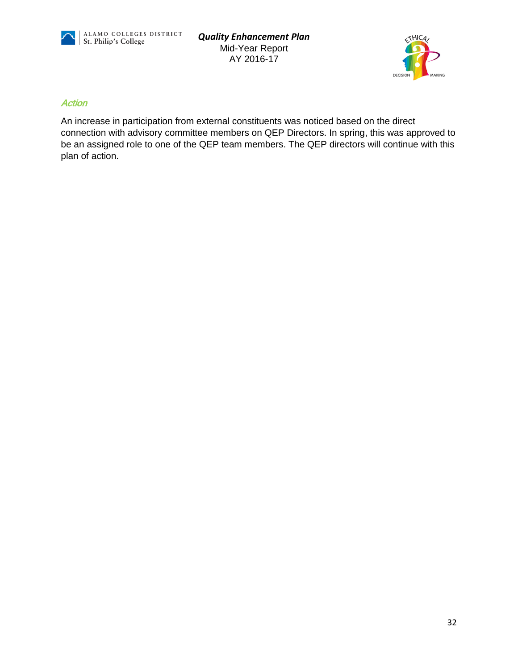



#### **Action**

An increase in participation from external constituents was noticed based on the direct connection with advisory committee members on QEP Directors. In spring, this was approved to be an assigned role to one of the QEP team members. The QEP directors will continue with this plan of action.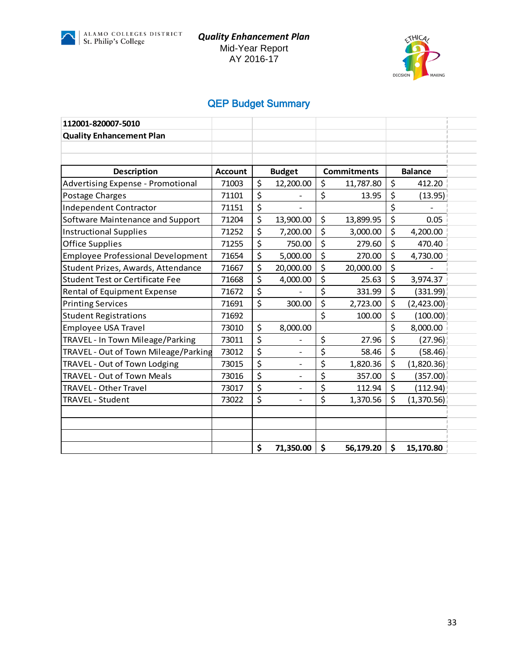



# QEP Budget Summary

| 112001-820007-5010                       |                |                                |                    |         |                |
|------------------------------------------|----------------|--------------------------------|--------------------|---------|----------------|
| <b>Quality Enhancement Plan</b>          |                |                                |                    |         |                |
|                                          |                |                                |                    |         |                |
|                                          |                |                                |                    |         |                |
| <b>Description</b>                       | <b>Account</b> | <b>Budget</b>                  | <b>Commitments</b> |         | <b>Balance</b> |
| <b>Advertising Expense - Promotional</b> | 71003          | \$<br>12,200.00                | \$<br>11,787.80    | \$      | 412.20         |
| Postage Charges                          | 71101          | \$                             | \$<br>13.95        | \$      | (13.95)        |
| <b>Independent Contractor</b>            | 71151          | \$                             |                    | \$      |                |
| Software Maintenance and Support         | 71204          | \$<br>13,900.00                | \$<br>13,899.95    | \$      | 0.05           |
| <b>Instructional Supplies</b>            | 71252          | \$<br>7,200.00                 | \$<br>3,000.00     | \$      | 4,200.00       |
| <b>Office Supplies</b>                   | 71255          | \$<br>750.00                   | \$<br>279.60       | \$      | 470.40         |
| <b>Employee Professional Development</b> | 71654          | \$<br>5,000.00                 | \$<br>270.00       | \$      | 4,730.00       |
| Student Prizes, Awards, Attendance       | 71667          | \$<br>20,000.00                | \$<br>20,000.00    | \$      |                |
| <b>Student Test or Certificate Fee</b>   | 71668          | \$<br>4,000.00                 | \$<br>25.63        | \$      | 3,974.37       |
| Rental of Equipment Expense              | 71672          | \$                             | \$<br>331.99       | \$      | (331.99)       |
| <b>Printing Services</b>                 | 71691          | \$<br>300.00                   | \$<br>2,723.00     | \$      | (2,423.00)     |
| <b>Student Registrations</b>             | 71692          |                                | \$<br>100.00       | \$      | (100.00)       |
| <b>Employee USA Travel</b>               | 73010          | \$<br>8,000.00                 |                    | \$      | 8,000.00       |
| TRAVEL - In Town Mileage/Parking         | 73011          | \$                             | \$<br>27.96        | \$      | (27.96)        |
| TRAVEL - Out of Town Mileage/Parking     | 73012          | \$                             | \$<br>58.46        | \$      | (58.46)        |
| TRAVEL - Out of Town Lodging             | 73015          | \$<br>$\overline{a}$           | \$<br>1,820.36     | \$      | (1,820.36)     |
| TRAVEL - Out of Town Meals               | 73016          | \$<br>$\overline{\phantom{a}}$ | \$<br>357.00       | \$      | (357.00)       |
| TRAVEL - Other Travel                    | 73017          | \$                             | \$<br>112.94       | $\zeta$ | (112.94)       |
| TRAVEL - Student                         | 73022          | \$<br>$\blacksquare$           | \$<br>1,370.56     | \$      | (1,370.56)     |
|                                          |                |                                |                    |         |                |
|                                          |                |                                |                    |         |                |
|                                          |                |                                |                    |         |                |
|                                          |                | \$<br>71,350.00                | \$<br>56,179.20    | \$      | 15,170.80      |